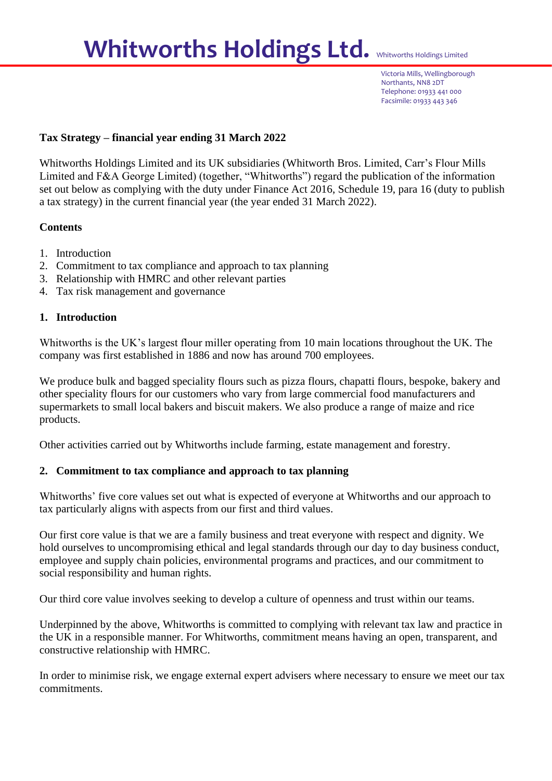# Whitworths Holdings Ltd. Whitworths Holdings Limited

Victoria Mills, Wellingborough Northants, NN8 2DT Telephone: 01933 441 000 Facsimile: 01933 443 346

## **Tax Strategy – financial year ending 31 March 2022**

Whitworths Holdings Limited and its UK subsidiaries (Whitworth Bros. Limited, Carr's Flour Mills Limited and F&A George Limited) (together, "Whitworths") regard the publication of the information set out below as complying with the duty under Finance Act 2016, Schedule 19, para 16 (duty to publish a tax strategy) in the current financial year (the year ended 31 March 2022).

## **Contents**

- 1. Introduction
- 2. Commitment to tax compliance and approach to tax planning
- 3. Relationship with HMRC and other relevant parties
- 4. Tax risk management and governance

#### **1. Introduction**

Whitworths is the UK's largest flour miller operating from 10 main locations throughout the UK. The company was first established in 1886 and now has around 700 employees.

We produce bulk and bagged speciality flours such as pizza flours, chapatti flours, bespoke, bakery and other speciality flours for our customers who vary from large commercial food manufacturers and supermarkets to small local bakers and biscuit makers. We also produce a range of maize and rice products.

Other activities carried out by Whitworths include farming, estate management and forestry.

#### **2. Commitment to tax compliance and approach to tax planning**

Whitworths' five core values set out what is expected of everyone at Whitworths and our approach to tax particularly aligns with aspects from our first and third values.

Our first core value is that we are a family business and treat everyone with respect and dignity. We hold ourselves to uncompromising ethical and legal standards through our day to day business conduct, employee and supply chain policies, environmental programs and practices, and our commitment to social responsibility and human rights.

Our third core value involves seeking to develop a culture of openness and trust within our teams.

Underpinned by the above, Whitworths is committed to complying with relevant tax law and practice in the UK in a responsible manner. For Whitworths, commitment means having an open, transparent, and constructive relationship with HMRC.

In order to minimise risk, we engage external expert advisers where necessary to ensure we meet our tax commitments.